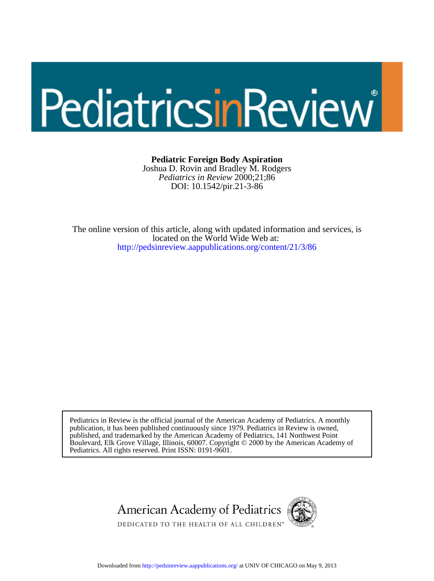# PediatricsinReview

# **Pediatric Foreign Body Aspiration**

DOI: 10.1542/pir.21-3-86 *Pediatrics in Review* 2000;21;86 Joshua D. Rovin and Bradley M. Rodgers

<http://pedsinreview.aappublications.org/content/21/3/86> located on the World Wide Web at: The online version of this article, along with updated information and services, is

Pediatrics. All rights reserved. Print ISSN: 0191-9601. Boulevard, Elk Grove Village, Illinois, 60007. Copyright © 2000 by the American Academy of published, and trademarked by the American Academy of Pediatrics, 141 Northwest Point publication, it has been published continuously since 1979. Pediatrics in Review is owned, Pediatrics in Review is the official journal of the American Academy of Pediatrics. A monthly



Downloaded from<http://pedsinreview.aappublications.org/>at UNIV OF CHICAGO on May 9, 2013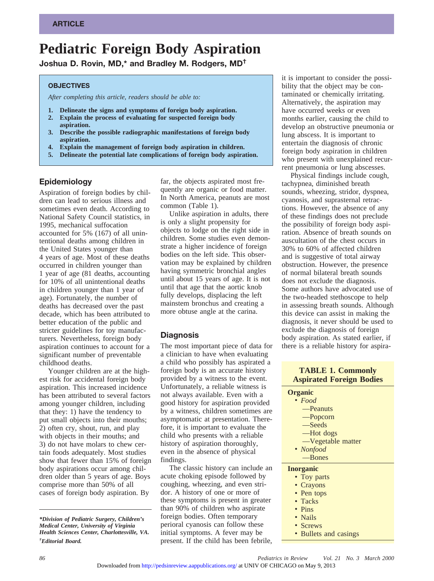# **Pediatric Foreign Body Aspiration**

**Joshua D. Rovin, MD,\* and Bradley M. Rodgers, MD†**

#### **OBJECTIVES**

*After completing this article, readers should be able to:*

- **1. Delineate the signs and symptoms of foreign body aspiration. 2. Explain the process of evaluating for suspected foreign body**
- **aspiration. 3. Describe the possible radiographic manifestations of foreign body**
- **aspiration. 4. Explain the management of foreign body aspiration in children.**
- **5. Delineate the potential late complications of foreign body aspiration.**

# **Epidemiology**

Aspiration of foreign bodies by children can lead to serious illness and sometimes even death. According to National Safety Council statistics, in 1995, mechanical suffocation accounted for 5% (167) of all unintentional deaths among children in the United States younger than 4 years of age. Most of these deaths occurred in children younger than 1 year of age (81 deaths, accounting for 10% of all unintentional deaths in children younger than 1 year of age). Fortunately, the number of deaths has decreased over the past decade, which has been attributed to better education of the public and stricter guidelines for toy manufacturers. Nevertheless, foreign body aspiration continues to account for a significant number of preventable childhood deaths.

Younger children are at the highest risk for accidental foreign body aspiration. This increased incidence has been attributed to several factors among younger children, including that they: 1) have the tendency to put small objects into their mouths; 2) often cry, shout, run, and play with objects in their mouths; and 3) do not have molars to chew certain foods adequately. Most studies show that fewer than 15% of foreign body aspirations occur among children older than 5 years of age. Boys comprise more than 50% of all cases of foreign body aspiration. By

far, the objects aspirated most frequently are organic or food matter. In North America, peanuts are most common (Table 1).

Unlike aspiration in adults, there is only a slight propensity for objects to lodge on the right side in children. Some studies even demonstrate a higher incidence of foreign bodies on the left side. This observation may be explained by children having symmetric bronchial angles until about 15 years of age. It is not until that age that the aortic knob fully develops, displacing the left mainstem bronchus and creating a more obtuse angle at the carina.

### **Diagnosis**

The most important piece of data for a clinician to have when evaluating a child who possibly has aspirated a foreign body is an accurate history provided by a witness to the event. Unfortunately, a reliable witness is not always available. Even with a good history for aspiration provided by a witness, children sometimes are asymptomatic at presentation. Therefore, it is important to evaluate the child who presents with a reliable history of aspiration thoroughly, even in the absence of physical findings.

The classic history can include an acute choking episode followed by coughing, wheezing, and even stridor. A history of one or more of these symptoms is present in greater than 90% of children who aspirate foreign bodies. Often temporary perioral cyanosis can follow these initial symptoms. A fever may be present. If the child has been febrile,

it is important to consider the possibility that the object may be contaminated or chemically irritating. Alternatively, the aspiration may have occurred weeks or even months earlier, causing the child to develop an obstructive pneumonia or lung abscess. It is important to entertain the diagnosis of chronic foreign body aspiration in children who present with unexplained recurrent pneumonia or lung abscesses.

Physical findings include cough, tachypnea, diminished breath sounds, wheezing, stridor, dyspnea, cyanosis, and suprasternal retractions. However, the absence of any of these findings does not preclude the possibility of foreign body aspiration. Absence of breath sounds on auscultation of the chest occurs in 30% to 60% of affected children and is suggestive of total airway obstruction. However, the presence of normal bilateral breath sounds does not exclude the diagnosis. Some authors have advocated use of the two-headed stethoscope to help in assessing breath sounds. Although this device can assist in making the diagnosis, it never should be used to exclude the diagnosis of foreign body aspiration. As stated earlier, if there is a reliable history for aspira-

### **TABLE 1. Commonly Aspirated Foreign Bodies**

# **Organic**

- *Food*
	- —Peanuts —Popcorn
	- —Seeds
	- —Hot dogs
	- —Vegetable matter
- *Nonfood*
- —Bones

#### **Inorganic**

- Toy parts
- Crayons
- Pen tops
- Tacks
- Pins
- Nails
- Screws
- Bullets and casings

*<sup>\*</sup>Division of Pediatric Surgery, Children's Medical Center, University of Virginia Health Sciences Center, Charlottesville, VA. † Editorial Board.*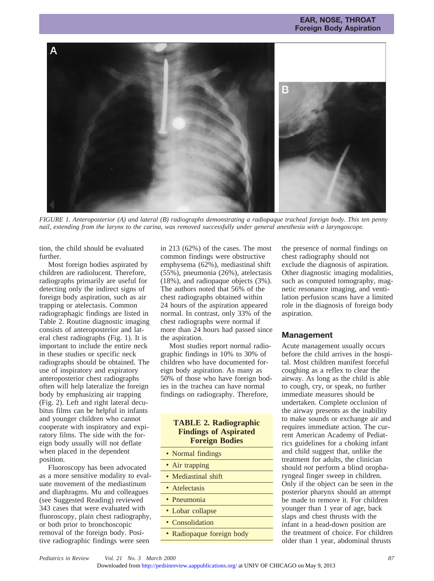#### **EAR, NOSE, THROAT Foreign Body Aspiration**



*FIGURE 1. Anteroposterior (A) and lateral (B) radiographs demonstrating a radiopaque tracheal foreign body. This ten penny nail, extending from the larynx to the carina, was removed successfully under general anesthesia with a laryngoscope.*

tion, the child should be evaluated further.

Most foreign bodies aspirated by children are radiolucent. Therefore, radiographs primarily are useful for detecting only the indirect signs of foreign body aspiration, such as air trapping or atelectasis. Common radiographagic findings are listed in Table 2. Routine diagnostic imaging consists of anteroposterior and lateral chest radiographs (Fig. 1). It is important to include the entire neck in these studies or specific neck radiographs should be obtained. The use of inspiratory and expiratory anteroposterior chest radiographs often will help lateralize the foreign body by emphasizing air trapping (Fig. 2). Left and right lateral decubitus films can be helpful in infants and younger children who cannot cooperate with inspiratory and expiratory films. The side with the foreign body usually will not deflate when placed in the dependent position.

Fluoroscopy has been advocated as a more sensitive modality to evaluate movement of the mediastinum and diaphragms. Mu and colleagues (see Suggested Reading) reviewed 343 cases that were evaluated with fluoroscopy, plain chest radiography, or both prior to bronchoscopic removal of the foreign body. Positive radiographic findings were seen

in 213 (62%) of the cases. The most common findings were obstructive emphysema (62%), mediastinal shift (55%), pneumonia (26%), atelectasis (18%), and radiopaque objects (3%). The authors noted that 56% of the chest radiographs obtained within 24 hours of the aspiration appeared normal. In contrast, only 33% of the chest radiographs were normal if more than 24 hours had passed since the aspiration.

Most studies report normal radiographic findings in 10% to 30% of children who have documented foreign body aspiration. As many as 50% of those who have foreign bodies in the trachea can have normal findings on radiography. Therefore,

#### **TABLE 2. Radiographic Findings of Aspirated Foreign Bodies**

- Normal findings
- Air trapping
- Mediastinal shift
- Atelectasis
- Pneumonia
- Lobar collapse
- Consolidation
- Radiopaque foreign body

the presence of normal findings on chest radiography should not exclude the diagnosis of aspiration. Other diagnostic imaging modalities, such as computed tomography, magnetic resonance imaging, and ventilation perfusion scans have a limited role in the diagnosis of foreign body aspiration.

#### **Management**

Acute management usually occurs before the child arrives in the hospital. Most children manifest forceful coughing as a reflex to clear the airway. As long as the child is able to cough, cry, or speak, no further immediate measures should be undertaken. Complete occlusion of the airway presents as the inability to make sounds or exchange air and requires immediate action. The current American Academy of Pediatrics guidelines for a choking infant and child suggest that, unlike the treatment for adults, the clinician should *not* perform a blind oropharyngeal finger sweep in children. Only if the object can be seen in the posterior pharynx should an attempt be made to remove it. For children younger than 1 year of age, back slaps and chest thrusts with the infant in a head-down position are the treatment of choice. For children older than 1 year, abdominal thrusts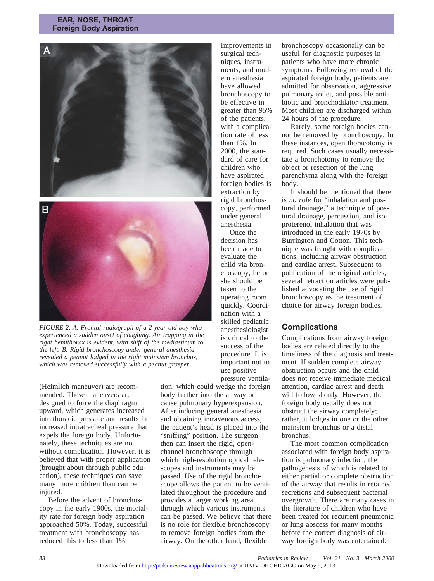#### **EAR, NOSE, THROAT Foreign Body Aspiration**



*FIGURE 2. A. Frontal radiograph of a 2-year-old boy who experienced a sudden onset of coughing. Air trapping in the right hemithorax is evident, with shift of the mediastinum to the left. B. Rigid bronchoscopy under general anesthesia revealed a peanut lodged in the right mainstem bronchus, which was removed successfully with a peanut grasper.*

(Heimlich maneuver) are recommended. These maneuvers are designed to force the diaphragm upward, which generates increased intrathoracic pressure and results in increased intratracheal pressure that expels the foreign body. Unfortunately, these techniques are not without complication. However, it is believed that with proper application (brought about through public education), these techniques can save many more children than can be injured.

Before the advent of bronchoscopy in the early 1900s, the mortality rate for foreign body aspiration approached 50%. Today, successful treatment with bronchoscopy has reduced this to less than 1%.

Improvements in surgical techniques, instruments, and modern anesthesia have allowed bronchoscopy to be effective in greater than 95% of the patients, with a complication rate of less than 1%. In 2000, the standard of care for children who have aspirated foreign bodies is extraction by rigid bronchoscopy, performed under general anesthesia.

Once the decision has been made to evaluate the child via bronchoscopy, he or she should be taken to the operating room quickly. Coordination with a skilled pediatric anesthesiologist is critical to the success of the procedure. It is important not to use positive pressure ventila-

tion, which could wedge the foreign body further into the airway or cause pulmonary hyperexpansion. After inducing general anesthesia and obtaining intravenous access, the patient's head is placed into the "sniffing" position. The surgeon then can insert the rigid, openchannel bronchoscope through which high-resolution optical telescopes and instruments may be passed. Use of the rigid bronchoscope allows the patient to be ventilated throughout the procedure and provides a larger working area through which various instruments can be passed. We believe that there is no role for flexible bronchoscopy to remove foreign bodies from the airway. On the other hand, flexible

bronchoscopy occasionally can be useful for diagnostic purposes in patients who have more chronic symptoms. Following removal of the aspirated foreign body, patients are admitted for observation, aggressive pulmonary toilet, and possible antibiotic and bronchodilator treatment. Most children are discharged within 24 hours of the procedure.

Rarely, some foreign bodies cannot be removed by bronchoscopy. In these instances, open thoracotomy is required. Such cases usually necessitate a bronchotomy to remove the object or resection of the lung parenchyma along with the foreign body.

It should be mentioned that there is *no role* for "inhalation and postural drainage," a technique of postural drainage, percussion, and isoproterenol inhalation that was introduced in the early 1970s by Burrington and Cotton. This technique was fraught with complications, including airway obstruction and cardiac arrest. Subsequent to publication of the original articles, several retraction articles were published advocating the use of rigid bronchoscopy as the treatment of choice for airway foreign bodies.

# **Complications**

Complications from airway foreign bodies are related directly to the timeliness of the diagnosis and treatment. If sudden complete airway obstruction occurs and the child does not receive immediate medical attention, cardiac arrest and death will follow shortly. However, the foreign body usually does not obstruct the airway completely; rather, it lodges in one or the other mainstem bronchus or a distal bronchus.

The most common complication associated with foreign body aspiration is pulmonary infection, the pathogenesis of which is related to either partial or complete obstruction of the airway that results in retained secretions and subsequent bacterial overgrowth. There are many cases in the literature of children who have been treated for recurrent pneumonia or lung abscess for many months before the correct diagnosis of airway foreign body was entertained.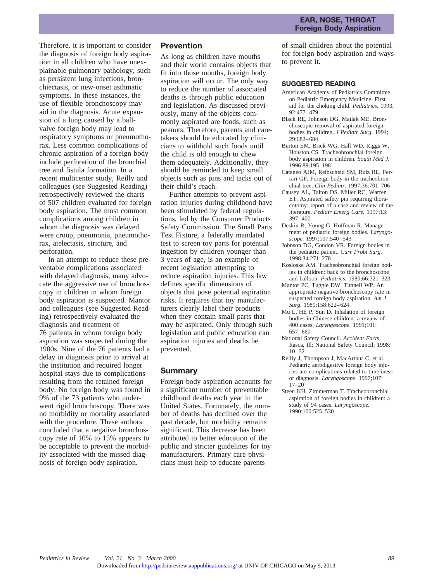Therefore, it is important to consider the diagnosis of foreign body aspiration in all children who have unexplainable pulmonary pathology, such as persistent lung infections, bronchiectasis, or new-onset asthmatic symptoms. In these instances, the use of flexible bronchoscopy may aid in the diagnosis. Acute expansion of a lung caused by a ballvalve foreign body may lead to respiratory symptoms or pneumothorax. Less common complications of chronic aspiration of a foreign body include perforation of the bronchial tree and fistula formation. In a recent multicenter study, Reilly and colleagues (see Suggested Reading) retrospectively reviewed the charts of 507 children evaluated for foreign body aspiration. The most common complications among children in whom the diagnosis was delayed were croup, pneumonia, pneumothorax, atelectasis, stricture, and perforation.

In an attempt to reduce these preventable complications associated with delayed diagnosis, many advocate the aggressive use of bronchoscopy in children in whom foreign body aspiration is suspected. Mantor and colleagues (see Suggested Reading) retrospectively evaluated the diagnosis and treatment of 76 patients in whom foreign body aspiration was suspected during the 1980s. Nine of the 76 patients had a delay in diagnosis prior to arrival at the institution and required longer hospital stays due to complications resulting from the retained foreign body. No foreign body was found in 9% of the 73 patients who underwent rigid bronchoscopy. There was no morbidity or mortality associated with the procedure. These authors concluded that a negative bronchoscopy rate of 10% to 15% appears to be acceptable to prevent the morbidity associated with the missed diagnosis of foreign body aspiration.

#### **Prevention**

As long as children have mouths and their world contains objects that fit into those mouths, foreign body aspiration will occur. The only way to reduce the number of associated deaths is through public education and legislation. As discussed previously, many of the objects commonly aspirated are foods, such as peanuts. Therefore, parents and caretakers should be educated by clinicians to withhold such foods until the child is old enough to chew them adequately. Additionally, they should be reminded to keep small objects such as pins and tacks out of their child's reach.

Further attempts to prevent aspiration injuries during childhood have been stimulated by federal regulations, led by the Consumer Products Safety Commission. The Small Parts Test Fixture, a federally mandated test to screen toy parts for potential ingestion by children younger than 3 years of age, is an example of recent legislation attempting to reduce aspiration injuries. This law defines specific dimensions of objects that pose potential aspiration risks. It requires that toy manufacturers clearly label their products when they contain small parts that may be aspirated. Only through such legislation and public education can aspiration injuries and deaths be prevented.

#### **Summary**

Foreign body aspiration accounts for a significant number of preventable childhood deaths each year in the United States. Fortunately, the number of deaths has declined over the past decade, but morbidity remains significant. This decrease has been attributed to better education of the public and stricter guidelines for toy manufacturers. Primary care physicians must help to educate parents

of small children about the potential for foreign body aspiration and ways to prevent it.

#### **SUGGESTED READING**

- American Academy of Pediatrics Committee on Pediatric Emergency Medicine. First aid for the choking child. *Pediatrics.* 1993; 92:477–479
- Black RE, Johnson DG, Matlak ME. Bronchoscopic removal of aspirated foreign bodies in children. *J Pediatr Surg.* 1994; 29:682–684
- Burton EM, Brick WG, Hall WD, Riggs W, Houston CS. Tracheobronchial foreign body aspiration in children. *South Med J.* 1996;89:195–198
- Cataneo AJM, Reibscheid SM, Ruiz RL, Ferrari GF. Foreign body in the tracheobronchial tree. *Clin Pediatr.* 1997;36:701–706
- Causey AL, Talton DS, Miller RC, Warren ET. Aspirated safety pin requiring thoracotomy: report of a case and review of the literature. *Pediatr Emerg Care.* 1997;13: 397–400
- Deskin R, Young G, Hoffman R. Management of pediatric foreign bodies. *Laryngoscope.* 1997;107:540–543
- Johnson DG, Condon VR. Foreign bodies in the pediatric patient. *Curr Probl Surg.* 1998;34:271–278
- Kosloske AM. Tracheobronchial foreign bodies in children: back to the bronchoscope and balloon. *Pediatrics.* 1980;66:321–323
- Mantor PC, Tuggle DW, Tunnell WP. An appropriate negative bronchoscopy rate in suspected foreign body aspiration. *Am J Surg.* 1989;158:622–624
- Mu L, HE P, Sun D. Inhalation of foreign bodies in Chinese children: a review of 400 cases. *Laryngoscope.* 1991;101: 657–660
- National Safety Council. *Accident Facts*. Itasca, Ill: National Safety Council; 1998: 10–32
- Reilly J, Thompson J, MacArthur C, et al. Pediatric aerodigestive foreign body injuries are complications related to timeliness of diagnosis. *Laryngoscope.* 1997;107:  $17-20$
- Steen KH, Zimmerman T. Tracheobronchial aspiration of foreign bodies in children: a study of 94 cases. *Laryngoscope.* 1990;100:525–530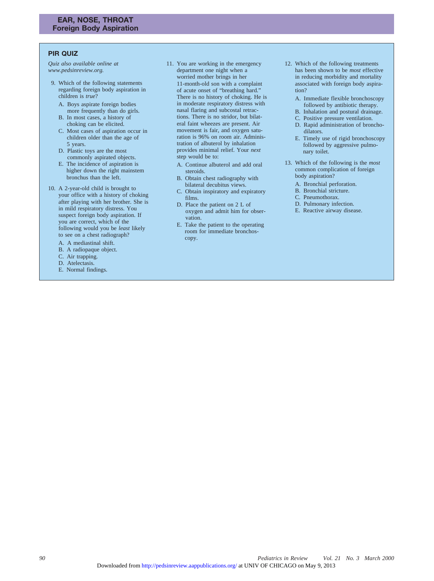## **PIR QUIZ**

*Quiz also available online at www.pedsinreview.org.*

- 9. Which of the following statements regarding foreign body aspiration in children is *true*?
	- A. Boys aspirate foreign bodies more frequently than do girls.
	- B. In most cases, a history of choking can be elicited.
	- C. Most cases of aspiration occur in children older than the age of 5 years.
	- D. Plastic toys are the most commonly aspirated objects.
	- E. The incidence of aspiration is higher down the right mainstem bronchus than the left.
- 10. A 2-year-old child is brought to your office with a history of choking after playing with her brother. She is in mild respiratory distress. You suspect foreign body aspiration. If you are correct, which of the following would you be *least* likely to see on a chest radiograph?
	- A. A mediastinal shift.
	- B. A radiopaque object.
	- C. Air trapping.
	- D. Atelectasis.
	- E. Normal findings.
- 11. You are working in the emergency department one night when a worried mother brings in her 11-month-old son with a complaint of acute onset of "breathing hard." There is no history of choking. He is in moderate respiratory distress with nasal flaring and subcostal retractions. There is no stridor, but bilateral faint wheezes are present. Air movement is fair, and oxygen saturation is 96% on room air. Administration of albuterol by inhalation provides minimal relief. Your *next* step would be to:
	- A. Continue albuterol and add oral steroids.
	- B. Obtain chest radiography with bilateral decubitus views.
	- C. Obtain inspiratory and expiratory films.
	- D. Place the patient on 2 L of oxygen and admit him for observation.
	- E. Take the patient to the operating room for immediate bronchoscopy.
- 12. Which of the following treatments has been shown to be *most* effective in reducing morbidity and mortality associated with foreign body aspiration?
	- A. Immediate flexible bronchoscopy followed by antibiotic therapy.
	- B. Inhalation and postural drainage.
	- C. Positive pressure ventilation.
	- D. Rapid administration of bronchodilators.
	- E. Timely use of rigid bronchoscopy followed by aggressive pulmonary toilet.
- 13. Which of the following is the *most* common complication of foreign body aspiration?
	- A. Bronchial perforation.
	- B. Bronchial stricture.
	- C. Pneumothorax.
	- D. Pulmonary infection.
	- E. Reactive airway disease.